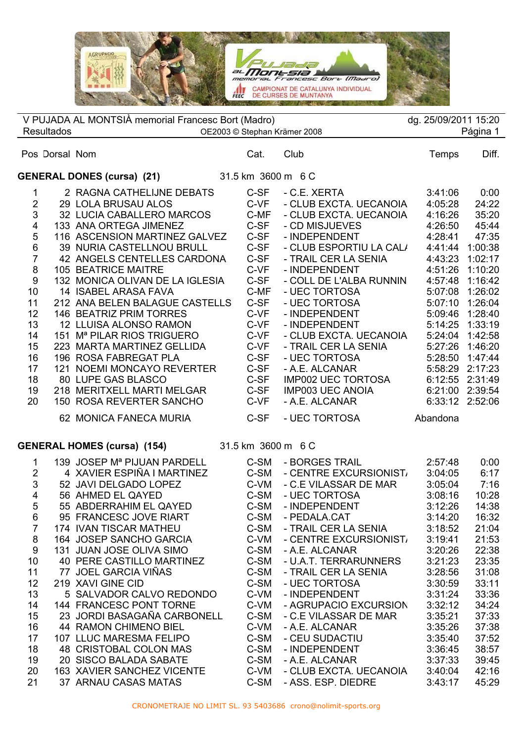

| V PUJADA AL MONTSIÀ memorial Francesc Bort (Madro)<br>dg. 25/09/2011 15:20                                                                                                              |                |                                                                                                                                                                                                                                                                                                                                                                                                                                                                                                                                                                                                     |                                                                                                                                                              |                                                                                                                                                                                                                                                                                                                                                                                                                                       |                                                                                                                                                                                                               |                                                                                                                                                                                                                       |
|-----------------------------------------------------------------------------------------------------------------------------------------------------------------------------------------|----------------|-----------------------------------------------------------------------------------------------------------------------------------------------------------------------------------------------------------------------------------------------------------------------------------------------------------------------------------------------------------------------------------------------------------------------------------------------------------------------------------------------------------------------------------------------------------------------------------------------------|--------------------------------------------------------------------------------------------------------------------------------------------------------------|---------------------------------------------------------------------------------------------------------------------------------------------------------------------------------------------------------------------------------------------------------------------------------------------------------------------------------------------------------------------------------------------------------------------------------------|---------------------------------------------------------------------------------------------------------------------------------------------------------------------------------------------------------------|-----------------------------------------------------------------------------------------------------------------------------------------------------------------------------------------------------------------------|
| Página 1<br><b>Resultados</b><br>OE2003 © Stephan Krämer 2008                                                                                                                           |                |                                                                                                                                                                                                                                                                                                                                                                                                                                                                                                                                                                                                     |                                                                                                                                                              |                                                                                                                                                                                                                                                                                                                                                                                                                                       |                                                                                                                                                                                                               |                                                                                                                                                                                                                       |
|                                                                                                                                                                                         | Pos Dorsal Nom |                                                                                                                                                                                                                                                                                                                                                                                                                                                                                                                                                                                                     | Cat.                                                                                                                                                         | Club                                                                                                                                                                                                                                                                                                                                                                                                                                  | <b>Temps</b>                                                                                                                                                                                                  | Diff.                                                                                                                                                                                                                 |
|                                                                                                                                                                                         |                | 31.5 km 3600 m 6 C<br><b>GENERAL DONES (cursa) (21)</b>                                                                                                                                                                                                                                                                                                                                                                                                                                                                                                                                             |                                                                                                                                                              |                                                                                                                                                                                                                                                                                                                                                                                                                                       |                                                                                                                                                                                                               |                                                                                                                                                                                                                       |
| 1<br>$\mathbf{2}$<br>$\mathsf 3$<br>$\overline{\mathbf{4}}$<br>$\mathbf 5$<br>$\,6$<br>$\overline{7}$<br>$\bf 8$<br>9<br>10<br>11<br>12<br>13<br>14<br>15<br>16<br>17<br>18<br>19<br>20 |                | 2 RAGNA CATHELIJNE DEBATS<br>29 LOLA BRUSAU ALOS<br>32 LUCIA CABALLERO MARCOS<br>133 ANA ORTEGA JIMENEZ<br>116 ASCENSION MARTINEZ GALVEZ<br>39 NURIA CASTELLNOU BRULL<br>42 ANGELS CENTELLES CARDONA<br><b>105 BEATRICE MAITRE</b><br>132 MONICA OLIVAN DE LA IGLESIA<br>14 ISABEL ARASA FAVA<br>212 ANA BELEN BALAGUE CASTELLS<br>146 BEATRIZ PRIM TORRES<br>12 LLUISA ALONSO RAMON<br>151 M <sup>a</sup> PILAR RIOS TRIGUERO<br>223 MARTA MARTINEZ GELLIDA<br>196 ROSA FABREGAT PLA<br>121 NOEMI MONCAYO REVERTER<br>80 LUPE GAS BLASCO<br>218 MERITXELL MARTI MELGAR<br>150 ROSA REVERTER SANCHO | C-SF<br>C-VF<br>C-MF<br>C-SF<br>C-SF<br>C-SF<br>C-SF<br>C-VF<br>C-SF<br>C-MF<br>C-SF<br>C-VF<br>C-VF<br>C-VF<br>C-VF<br>C-SF<br>C-SF<br>C-SF<br>C-SF<br>C-VF | - C.E. XERTA<br>- CLUB EXCTA. UECANOIA<br>- CLUB EXCTA. UECANOIA<br>- CD MISJUEVES<br>- INDEPENDENT<br>- CLUB ESPORTIU LA CAL/<br>- TRAIL CER LA SENIA<br>- INDEPENDENT<br>- COLL DE L'ALBA RUNNIN<br>- UEC TORTOSA<br>- UEC TORTOSA<br>- INDEPENDENT<br>- INDEPENDENT<br>- CLUB EXCTA. UECANOIA<br>- TRAIL CER LA SENIA<br>- UEC TORTOSA<br>- A.E. ALCANAR<br><b>IMP002 UEC TORTOSA</b><br><b>IMP003 UEC ANOIA</b><br>- A.E. ALCANAR | 3:41:06<br>4:05:28<br>4:16:26<br>4:26:50<br>4:28:41<br>4:41:44<br>4:43:23<br>4:51:26<br>4:57:48<br>5:07:08<br>5:07:10<br>5:09:46<br>5:14:25<br>5:24:04<br>5:27:26<br>5:28:50<br>5:58:29<br>6:12:55<br>6:21:00 | 0:00<br>24:22<br>35:20<br>45:44<br>47:35<br>1:00:38<br>1:02:17<br>1:10:20<br>1:16:42<br>1:26:02<br>1:26:04<br>1:28:40<br>1:33:19<br>1:42:58<br>1:46:20<br>1:47:44<br>2:17:23<br>2:31:49<br>2:39:54<br>6:33:12 2:52:06 |
|                                                                                                                                                                                         |                | 62 MONICA FANECA MURIA                                                                                                                                                                                                                                                                                                                                                                                                                                                                                                                                                                              | C-SF                                                                                                                                                         | - UEC TORTOSA                                                                                                                                                                                                                                                                                                                                                                                                                         | Abandona                                                                                                                                                                                                      |                                                                                                                                                                                                                       |
| <b>GENERAL HOMES (cursa) (154)</b><br>31.5 km 3600 m 6 C                                                                                                                                |                |                                                                                                                                                                                                                                                                                                                                                                                                                                                                                                                                                                                                     |                                                                                                                                                              |                                                                                                                                                                                                                                                                                                                                                                                                                                       |                                                                                                                                                                                                               |                                                                                                                                                                                                                       |
| 1<br>$\overline{2}$<br>$\mathsf 3$<br>$\overline{4}$<br>5                                                                                                                               |                | 139 JOSEP M <sup>a</sup> PIJUAN PARDELL<br>4 XAVIER ESPIÑA I MARTINEZ<br>52 JAVI DELGADO LOPEZ<br>56 AHMED EL QAYED<br>55 ABDERRAHIM EL QAYED                                                                                                                                                                                                                                                                                                                                                                                                                                                       | C-SM<br>C-SM<br>C-VM<br>C-SM<br>C-SM                                                                                                                         | - BORGES TRAIL<br>- CENTRE EXCURSIONIST/<br>- C.E VILASSAR DE MAR<br>- UEC TORTOSA<br>- INDEPENDENT                                                                                                                                                                                                                                                                                                                                   | 2:57:48<br>3:04:05<br>3:05:04<br>3:08:16<br>3:12:26                                                                                                                                                           | 0:00<br>6:17<br>7:16<br>10:28<br>14:38                                                                                                                                                                                |
| 6<br>$\overline{7}$<br>8<br>9                                                                                                                                                           |                | 95 FRANCESC JOVE RIART<br>174 IVAN TISCAR MATHEU<br>164 JOSEP SANCHO GARCIA<br>131 JUAN JOSE OLIVA SIMO                                                                                                                                                                                                                                                                                                                                                                                                                                                                                             | C-SM<br>C-SM<br>C-VM<br>C-SM                                                                                                                                 | - PEDALA.CAT<br>- TRAIL CER LA SENIA<br>- CENTRE EXCURSIONIST/<br>- A.E. ALCANAR                                                                                                                                                                                                                                                                                                                                                      | 3:14:20<br>3:18:52<br>3:19:41<br>3:20:26                                                                                                                                                                      | 16:32<br>21:04<br>21:53<br>22:38                                                                                                                                                                                      |
| 10<br>11                                                                                                                                                                                |                | <b>40 PERE CASTILLO MARTINEZ</b><br>77 JOEL GARCIA VIÑAS                                                                                                                                                                                                                                                                                                                                                                                                                                                                                                                                            | C-SM<br>C-SM                                                                                                                                                 | - U.A.T. TERRARUNNERS<br>- TRAIL CER LA SENIA                                                                                                                                                                                                                                                                                                                                                                                         | 3:21:23<br>3:28:56                                                                                                                                                                                            | 23:35<br>31:08                                                                                                                                                                                                        |

- 219 XAVI GINE CID C-SM UEC TORTOSA 3:30:59 33:11 13 5 SALVADOR CALVO REDONDO C-VM - INDEPENDENT 3:31:24 33:36 144 FRANCESC PONT TORNE C-VM - AGRUPACIO EXCURSION 3:32:12 34:24 23 JORDI BASAGAÑA CARBONELL C-SM - C.E VILASSAR DE MAR 3:35:21 37:33 44 RAMON CHIMENO BIEL C-VM - A.E. ALCANAR 3:35:26 37:38 107 LLUC MARESMA FELIPO C-SM - CEU SUDACTIU 3:35:40 37:52 18 48 CRISTOBAL COLON MAS C-SM - INDEPENDENT 3:36:45 38:57 20 SISCO BALADA SABATE C-SM - A.E. ALCANAR 3:37:33 39:45 20 163 XAVIER SANCHEZ VICENTE C-VM - CLUB EXCTA. UECANOIA 3:40:04
- 21 37 ARNAU CASAS MATAS C-SM ASS. ESP. DIEDRE 3:43:17 45:29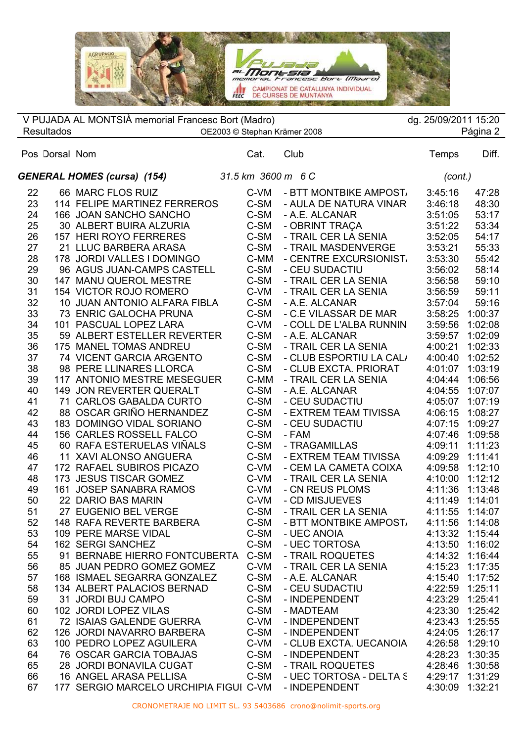

 $\overline{\phantom{a}}$  $\overline{a}$ V PUJADA AL MONTSIÀ memorial Francesc Bort (Madro) dg. 25/09/2011 15:20 Resultados OE2003 © Stephan Krämer 2008 Página 2

## Pos Dorsal Nom Cat. Club Temps Diff. *GENERAL HOMES (cursa) (154) 31.5 km 3600 m 6 C (cont.)* 22 66 MARC FLOS RUIZ C-VM - BTT MONTBIKE AMPOST 3:45:16 47:28 114 FELIPE MARTINEZ FERREROS C-SM - AULA DE NATURA VINAR 3:46:18 48:30 166 JOAN SANCHO SANCHO C-SM - A.E. ALCANAR 3:51:05 53:17 30 ALBERT BUIRA ALZURIA C-SM - OBRINT TRAÇA 3:51:22 53:34 157 HERI ROYO FERRERES C-SM - TRAIL CER LA SENIA 3:52:05 54:17 21 LLUC BARBERA ARASA C-SM - TRAIL MASDENVERGE 3:53:21 55:33 28 178 JORDI VALLES I DOMINGO C-MM - CENTRE EXCURSIONIST 3:53:30 55:42 96 AGUS JUAN-CAMPS CASTELL C-SM - CEU SUDACTIU 3:56:02 58:14 147 MANU QUEROL MESTRE C-SM - TRAIL CER LA SENIA 3:56:58 59:10 154 VICTOR ROJO ROMERO C-VM - TRAIL CER LA SENIA 3:56:59 59:11 10 JUAN ANTONIO ALFARA FIBLA C-SM - A.E. ALCANAR 3:57:04 59:16 73 ENRIC GALOCHA PRUNA C-SM - C.E VILASSAR DE MAR 3:58:25 1:00:37 101 PASCUAL LOPEZ LARA C-VM - COLL DE L'ALBA RUNNIN 3:59:56 1:02:08 59 ALBERT ESTELLER REVERTER C-SM - A.E. ALCANAR 3:59:57 1:02:09 175 MANEL TOMAS ANDREU C-SM - TRAIL CER LA SENIA 4:00:21 1:02:33 74 VICENT GARCIA ARGENTO C-SM - CLUB ESPORTIU LA CALA 4:00:40 1:02:52 98 PERE LLINARES LLORCA C-SM - CLUB EXCTA. PRIORAT 4:01:07 1:03:19 117 ANTONIO MESTRE MESEGUER C-MM - TRAIL CER LA SENIA 4:04:44 1:06:56 149 JON REVERTER QUERALT C-SM - A.E. ALCANAR 4:04:55 1:07:07 71 CARLOS GABALDA CURTO C-SM - CEU SUDACTIU 4:05:07 1:07:19 88 OSCAR GRIÑO HERNANDEZ C-SM - EXTREM TEAM TIVISSA 4:06:15 1:08:27 183 DOMINGO VIDAL SORIANO C-SM - CEU SUDACTIU 4:07:15 1:09:27 156 CARLES ROSSELL FALCO C-SM - FAM 4:07:46 1:09:58 60 RAFA ESTERUELAS VIÑALS C-SM - TRAGAMILLAS 4:09:11 1:11:23 11 XAVI ALONSO ANGUERA C-SM - EXTREM TEAM TIVISSA 4:09:29 1:11:41 172 RAFAEL SUBIROS PICAZO C-VM - CEM LA CAMETA COIXA 4:09:58 1:12:10 173 JESUS TISCAR GOMEZ C-VM - TRAIL CER LA SENIA 4:10:00 1:12:12 161 JOSEP SANABRA RAMOS C-VM - CN REUS PLOMS 4:11:36 1:13:48 22 DARIO BAS MARIN C-VM - CD MISJUEVES 4:11:49 1:14:01 27 EUGENIO BEL VERGE C-SM - TRAIL CER LA SENIA 4:11:55 1:14:07 52 148 RAFA REVERTE BARBERA C-SM - BTT MONTBIKE AMPOST 4:11:56 1:14:08 109 PERE MARSE VIDAL C-SM - UEC ANOIA 4:13:32 1:15:44 162 SERGI SANCHEZ C-SM - UEC TORTOSA 4:13:50 1:16:02 91 BERNABE HIERRO FONTCUBERTA C-SM - TRAIL ROQUETES 4:14:32 1:16:44 85 JUAN PEDRO GOMEZ GOMEZ C-VM - TRAIL CER LA SENIA 4:15:23 1:17:35 57 168 ISMAEL SEGARRA GONZALEZ C-SM - A.E. ALCANAR 134 ALBERT PALACIOS BERNAD C-SM - CEU SUDACTIU 4:22:59 1:25:11 31 JORDI BUJ CAMPO C-SM - INDEPENDENT 4:23:29 1:25:41 102 JORDI LOPEZ VILAS C-SM - MADTEAM 4:23:30 1:25:42 72 ISAIAS GALENDE GUERRA C-VM - INDEPENDENT 4:23:43 1:25:55 126 JORDI NAVARRO BARBERA C-SM - INDEPENDENT 4:24:05 1:26:17 100 PEDRO LOPEZ AGUILERA C-VM - CLUB EXCTA. UECANOIA 4:26:58 1:29:10 76 OSCAR GARCIA TOBAJAS C-SM - INDEPENDENT 4:28:23 1:30:35 28 JORDI BONAVILA CUGAT C-SM - TRAIL ROQUETES 4:28:46 1:30:58 16 ANGEL ARASA PELLISA C-SM - UEC TORTOSA - DELTA S 4:29:17 1:31:29

67 177 SERGIO MARCELO URCHIPIA FIGUI C-VM - INDEPENDENT 4:30:09 1:32:21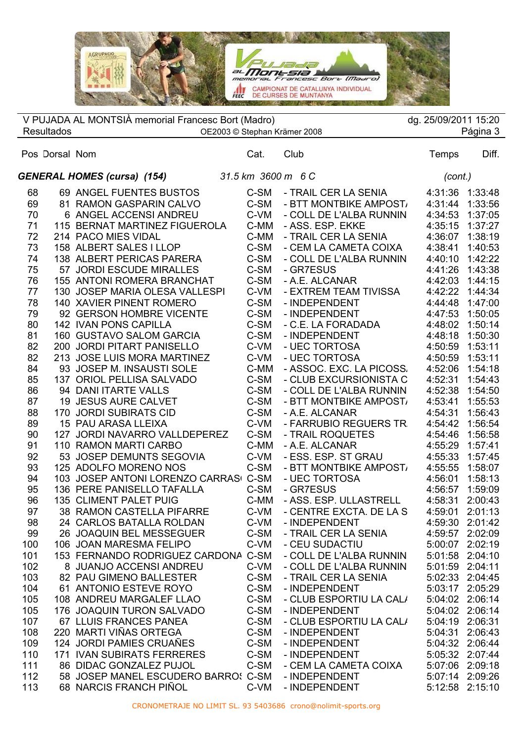

 $\overline{\phantom{a}}$  $\overline{a}$ V PUJADA AL MONTSIÀ memorial Francesc Bort (Madro) dg. 25/09/2011 15:20 V PUJADA AL MONTSIÀ memorial Francesc Bort (Madro) dg. 25/09/2011 15:20<br>Resultados OE2003 © Stephan Krämer 2008 Página 3

|     | Pos Dorsal Nom |                                                   | Cat. | Club                                 | Temps           | Diff.           |  |
|-----|----------------|---------------------------------------------------|------|--------------------------------------|-----------------|-----------------|--|
|     |                | GENERAL HOMES (cursa) (154) 31.5 km 3600 m 6 C    |      |                                      |                 | (cont.)         |  |
| 68  |                | 69 ANGEL FUENTES BUSTOS                           | C-SM | - TRAIL CER LA SENIA 4:31:36 1:33:48 |                 |                 |  |
| 69  |                | 81 RAMON GASPARIN CALVO                           | C-SM | - BTT MONTBIKE AMPOST,               | 4:31:44 1:33:56 |                 |  |
| 70  |                | 6 ANGEL ACCENSI ANDREU                            | C-VM | - COLL DE L'ALBA RUNNIN              | 4:34:53 1:37:05 |                 |  |
| 71  |                | 115 BERNAT MARTINEZ FIGUEROLA                     | C-MM | - ASS. ESP. EKKE                     | 4:35:15 1:37:27 |                 |  |
| 72  |                | 214 PACO MIES VIDAL                               | C-MM | - TRAIL CER LA SENIA                 | 4:36:07 1:38:19 |                 |  |
| 73  |                | 214  PACO MIES VIDAL<br>158  ALBERT SALES I LLOP  | C-SM | - CEM LA CAMETA COIXA                | 4:38:41         | 1:40:53         |  |
| 74  |                | 138 ALBERT PERICAS PARERA                         | C-SM | - COLL DE L'ALBA RUNNIN              | 4:40:10 1:42:22 |                 |  |
| 75  |                | 57 JORDI ESCUDE MIRALLES                          | C-SM | - GR7ESUS<br>- A.E. ALCANAR          | 4:41:26 1:43:38 |                 |  |
| 76  |                | 155 ANTONI ROMERA BRANCHAT                        | C-SM |                                      | 4:42:03 1:44:15 |                 |  |
| 77  |                | 130 JOSEP MARIA OLESA VALLESPI                    | C-VM | - EXTREM TEAM TIVISSA                | 4:42:22 1:44:34 |                 |  |
| 78  |                | 140 XAVIER PINENT ROMERO                          | C-SM | - INDEPENDENT                        | 4:44:48 1:47:00 |                 |  |
| 79  |                | 92 GERSON HOMBRE VICENTE                          | C-SM | - INDEPENDENT                        | 4:47:53 1:50:05 |                 |  |
| 80  |                | 142 IVAN PONS CAPILLA                             | C-SM | - C.E. LA FORADADA                   | 4:48:02 1:50:14 |                 |  |
| 81  |                | 160 GUSTAVO SALOM GARCIA                          | C-SM | - INDEPENDENT                        | 4:48:18         | 1:50:30         |  |
| 82  |                | 200 JORDI PITART PANISELLO                        | C-VM | - UEC TORTOSA                        | 4:50:59         | 1:53:11         |  |
| 82  |                | 213 JOSE LUIS MORA MARTINEZ                       | C-VM | - UEC TORTOSA                        | 4:50:59 1:53:11 |                 |  |
| 84  |                | 93 JOSEP M. INSAUSTI SOLE                         | C-MM | - ASSOC. EXC. LA PICOSS.             | 4:52:06 1:54:18 |                 |  |
| 85  |                | 137 ORIOL PELLISA SALVADO                         | C-SM | - CLUB EXCURSIONISTA C               | 4:52:31 1:54:43 |                 |  |
| 86  |                | 94 DANI ITARTE VALLS                              | C-SM | - COLL DE L'ALBA RUNNIN              | 4:52:38 1:54:50 |                 |  |
| 87  |                | 19 JESUS AURE CALVET                              | C-SM | - BTT MONTBIKE AMPOST,               | 4:53:41 1:55:53 |                 |  |
| 88  |                | 170 JORDI SUBIRATS CID                            | C-SM | - A.E. ALCANAR                       | 4:54:31 1:56:43 |                 |  |
| 89  |                | 15 PAU ARASA LLEIXA                               | C-VM | - FARRUBIO REGUERS TR                | 4:54:42 1:56:54 |                 |  |
| 90  |                | 127 JORDI NAVARRO VALLDEPEREZ C-SM                |      | - TRAIL ROQUETES                     | 4:54:46 1:56:58 |                 |  |
| 91  |                | 110 RAMON MARTI CARBO<br>53 JOSEP DEMUNTS SEGOVIA | C-MM | - A.E. ALCANAR                       | 4:55:29 1:57:41 |                 |  |
| 92  |                |                                                   | C-VM | - ESS. ESP. ST GRAU                  | 4:55:33 1:57:45 |                 |  |
| 93  |                | 125 ADOLFO MORENO NOS                             | C-SM | - BTT MONTBIKE AMPOST,               | 4:55:55 1:58:07 |                 |  |
| 94  |                | 103 JOSEP ANTONI LORENZO CARRASI C-SM             |      | - UEC TORTOSA                        | 4:56:01         | 1:58:13         |  |
| 95  |                | 136 PERE PANISELLO TAFALLA                        | C-SM | - GR7ESUS                            | 4:56:57         | 1:59:09         |  |
| 96  |                | 135 CLIMENT PALET PUIG                            | C-MM | - ASS. ESP. ULLASTRELL               | 4:58:31         | 2:00:43         |  |
| 97  |                | 38 RAMON CASTELLA PIFARRE C-VM                    |      | - CENTRE EXCTA. DE LA S              | 4:59:01         | 2:01:13         |  |
| 98  |                | 24 CARLOS BATALLA ROLDAN C-VM                     |      | - INDEPENDENT                        | 4:59:30 2:01:42 |                 |  |
| 99  |                | 26 JOAQUIN BEL MESSEGUER                          | C-SM | - TRAIL CER LA SENIA                 | 4:59:57 2:02:09 |                 |  |
| 100 |                | 106 JOAN MARESMA FELIPO                           |      | C-VM - CEU SUDACTIU                  |                 | 5:00:07 2:02:19 |  |
| 101 |                | 153 FERNANDO RODRIGUEZ CARDONA C-SM               |      | - COLL DE L'ALBA RUNNIN              |                 | 5:01:58 2:04:10 |  |
| 102 |                | 8 JUANJO ACCENSI ANDREU                           | C-VM | - COLL DE L'ALBA RUNNIN              | 5:01:59 2:04:11 |                 |  |
| 103 |                | 82 PAU GIMENO BALLESTER                           | C-SM | - TRAIL CER LA SENIA                 | 5:02:33 2:04:45 |                 |  |
| 104 |                | 61 ANTONIO ESTEVE ROYO                            | C-SM | - INDEPENDENT                        | 5:03:17 2:05:29 |                 |  |
| 105 |                | 108 ANDREU MARGALEF LLAO                          | C-SM | - CLUB ESPORTIU LA CAL/              | 5:04:02 2:06:14 |                 |  |
| 105 |                | 176 JOAQUIN TURON SALVADO                         | C-SM | - INDEPENDENT                        | 5:04:02 2:06:14 |                 |  |
| 107 |                | 67 LLUIS FRANCES PANEA                            | C-SM | - CLUB ESPORTIU LA CAL/              | 5:04:19         | 2:06:31         |  |
| 108 |                | 220 MARTI VIÑAS ORTEGA                            | C-SM | - INDEPENDENT                        | 5:04:31         | 2:06:43         |  |
| 109 |                | 124 JORDI PAMIES CRUAÑES                          | C-SM | - INDEPENDENT                        | 5:04:32 2:06:44 |                 |  |
| 110 |                | <b>171 IVAN SUBIRATS FERRERES</b>                 | C-SM | - INDEPENDENT                        | 5:05:32 2:07:44 |                 |  |
| 111 |                | 86 DIDAC GONZALEZ PUJOL                           | C-SM | - CEM LA CAMETA COIXA                | 5:07:06 2:09:18 |                 |  |
| 112 |                | 58 JOSEP MANEL ESCUDERO BARROS C-SM               |      | - INDEPENDENT                        | 5:07:14 2:09:26 |                 |  |
| 113 |                | 68 NARCIS FRANCH PIÑOL                            | C-VM | - INDEPENDENT                        |                 | 5:12:58 2:15:10 |  |